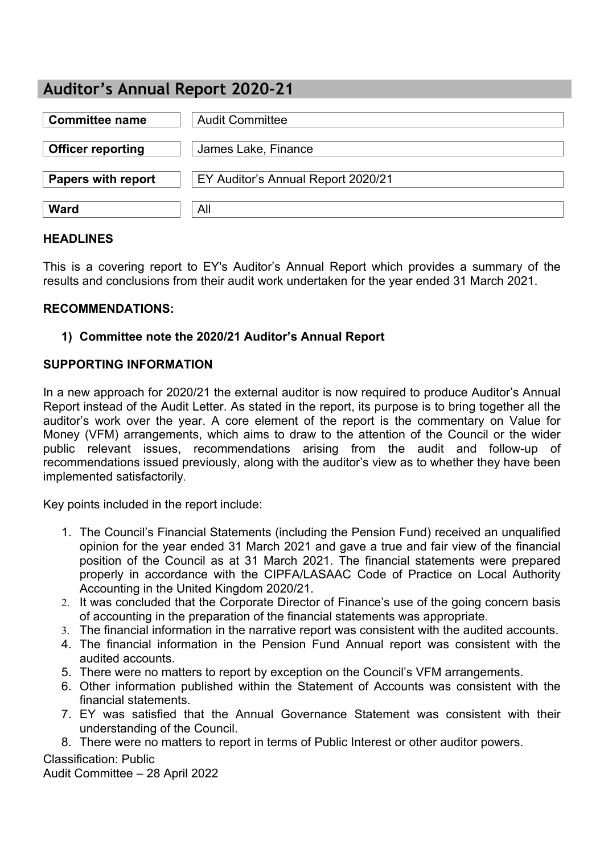# **Auditor's Annual Report 2020-21**

| <b>Committee name</b>     | <b>Audit Committee</b>             |
|---------------------------|------------------------------------|
| <b>Officer reporting</b>  | James Lake, Finance                |
| <b>Papers with report</b> | EY Auditor's Annual Report 2020/21 |
| <b>Ward</b>               | All                                |

#### **HEADLINES**

This is a covering report to EY's Auditor's Annual Report which provides a summary of the results and conclusions from their audit work undertaken for the year ended 31 March 2021.

#### **RECOMMENDATIONS:**

## **1) Committee note the 2020/21 Auditor's Annual Report**

#### **SUPPORTING INFORMATION**

In a new approach for 2020/21 the external auditor is now required to produce Auditor's Annual Report instead of the Audit Letter. As stated in the report, its purpose is to bring together all the auditor's work over the year. A core element of the report is the commentary on Value for Money (VFM) arrangements, which aims to draw to the attention of the Council or the wider public relevant issues, recommendations arising from the audit and follow-up of recommendations issued previously, along with the auditor's view as to whether they have been implemented satisfactorily.

Key points included in the report include:

- 1. The Council's Financial Statements (including the Pension Fund) received an unqualified opinion for the year ended 31 March 2021 and gave a true and fair view of the financial position of the Council as at 31 March 2021. The financial statements were prepared properly in accordance with the CIPFA/LASAAC Code of Practice on Local Authority Accounting in the United Kingdom 2020/21.
- 2. It was concluded that the Corporate Director of Finance's use of the going concern basis of accounting in the preparation of the financial statements was appropriate.
- 3. The financial information in the narrative report was consistent with the audited accounts.
- 4. The financial information in the Pension Fund Annual report was consistent with the audited accounts.
- 5. There were no matters to report by exception on the Council's VFM arrangements.
- 6. Other information published within the Statement of Accounts was consistent with the financial statements.
- 7. EY was satisfied that the Annual Governance Statement was consistent with their understanding of the Council.
- 8. There were no matters to report in terms of Public Interest or other auditor powers.

# Classification: Public

Audit Committee – 28 April 2022